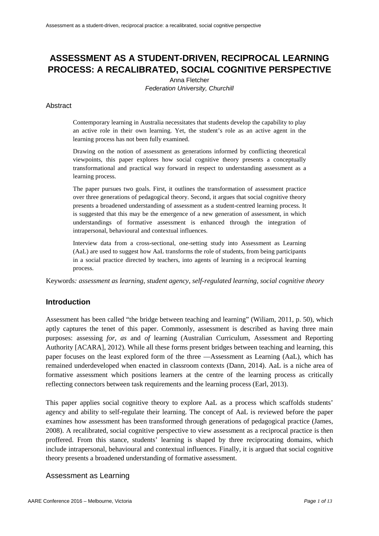# **ASSESSMENT AS A STUDENT-DRIVEN, RECIPROCAL LEARNING PROCESS: A RECALIBRATED, SOCIAL COGNITIVE PERSPECTIVE**

Anna Fletcher *Federation University, Churchill*

#### Abstract

Contemporary learning in Australia necessitates that students develop the capability to play an active role in their own learning. Yet, the student's role as an active agent in the learning process has not been fully examined.

Drawing on the notion of assessment as generations informed by conflicting theoretical viewpoints, this paper explores how social cognitive theory presents a conceptually transformational and practical way forward in respect to understanding assessment as a learning process.

The paper pursues two goals. First, it outlines the transformation of assessment practice over three generations of pedagogical theory. Second, it argues that social cognitive theory presents a broadened understanding of assessment as a student-centred learning process. It is suggested that this may be the emergence of a new generation of assessment, in which understandings of formative assessment is enhanced through the integration of intrapersonal, behavioural and contextual influences.

Interview data from a cross-sectional, one-setting study into Assessment as Learning (AaL) are used to suggest how AaL transforms the role of students, from being participants in a social practice directed by teachers, into agents of learning in a reciprocal learning process.

Keywords*: assessment as learning, student agency, self-regulated learning, social cognitive theory*

## **Introduction**

Assessment has been called "the bridge between teaching and learning" (Wiliam, 2011, p. 50), which aptly captures the tenet of this paper. Commonly, assessment is described as having three main purposes: assessing *for, as* and *of* learning (Australian Curriculum, Assessment and Reporting Authority [ACARA], 2012). While all these forms present bridges between teaching and learning, this paper focuses on the least explored form of the three ––Assessment as Learning (AaL), which has remained underdeveloped when enacted in classroom contexts (Dann, 2014). AaL is a niche area of formative assessment which positions learners at the centre of the learning process as critically reflecting connectors between task requirements and the learning process (Earl, 2013).

This paper applies social cognitive theory to explore AaL as a process which scaffolds students' agency and ability to self-regulate their learning. The concept of AaL is reviewed before the paper examines how assessment has been transformed through generations of pedagogical practice (James, 2008). A recalibrated, social cognitive perspective to view assessment as a reciprocal practice is then proffered. From this stance, students' learning is shaped by three reciprocating domains, which include intrapersonal, behavioural and contextual influences. Finally, it is argued that social cognitive theory presents a broadened understanding of formative assessment.

#### Assessment as Learning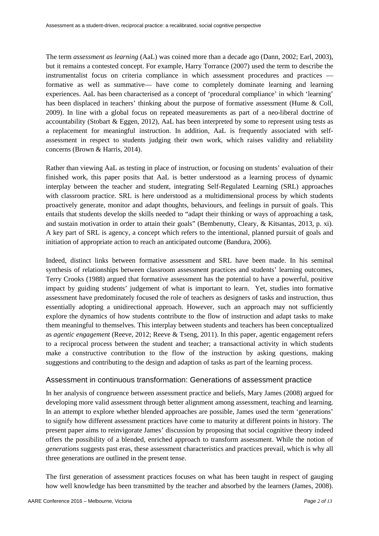The term *assessment as learning* (AaL) was coined more than a decade ago (Dann, 2002; Earl, 2003), but it remains a contested concept. For example, Harry Torrance (2007) used the term to describe the instrumentalist focus on criteria compliance in which assessment procedures and practices –– formative as well as summative–– have come to completely dominate learning and learning experiences. AaL has been characterised as a concept of 'procedural compliance' in which 'learning' has been displaced in teachers' thinking about the purpose of formative assessment (Hume & Coll, 2009). In line with a global focus on repeated measurements as part of a neo-liberal doctrine of accountability (Stobart & Eggen, 2012), AaL has been interpreted by some to represent using tests as a replacement for meaningful instruction. In addition, AaL is frequently associated with selfassessment in respect to students judging their own work, which raises validity and reliability concerns (Brown & Harris, 2014).

Rather than viewing AaL as testing in place of instruction, or focusing on students' evaluation of their finished work, this paper posits that AaL is better understood as a learning process of dynamic interplay between the teacher and student, integrating Self-Regulated Learning (SRL) approaches with classroom practice. SRL is here understood as a multidimensional process by which students proactively generate, monitor and adapt thoughts, behaviours, and feelings in pursuit of goals. This entails that students develop the skills needed to "adapt their thinking or ways of approaching a task, and sustain motivation in order to attain their goals" (Bembenutty, Cleary, & Kitsantas, 2013, p. xi). A key part of SRL is agency, a concept which refers to the intentional, planned pursuit of goals and initiation of appropriate action to reach an anticipated outcome (Bandura, 2006).

Indeed, distinct links between formative assessment and SRL have been made. In his seminal synthesis of relationships between classroom assessment practices and students' learning outcomes, Terry Crooks (1988) argued that formative assessment has the potential to have a powerful, positive impact by guiding students' judgement of what is important to learn. Yet, studies into formative assessment have predominately focused the role of teachers as designers of tasks and instruction, thus essentially adopting a unidirectional approach. However, such an approach may not sufficiently explore the dynamics of how students contribute to the flow of instruction and adapt tasks to make them meaningful to themselves. This interplay between students and teachers has been conceptualized as *agentic engagement* (Reeve, 2012; Reeve & Tseng, 2011). In this paper, agentic engagement refers to a reciprocal process between the student and teacher; a transactional activity in which students make a constructive contribution to the flow of the instruction by asking questions, making suggestions and contributing to the design and adaption of tasks as part of the learning process.

## Assessment in continuous transformation: Generations of assessment practice

In her analysis of congruence between assessment practice and beliefs, Mary James (2008) argued for developing more valid assessment through better alignment among assessment, teaching and learning. In an attempt to explore whether blended approaches are possible, James used the term 'generations' to signify how different assessment practices have come to maturity at different points in history. The present paper aims to reinvigorate James' discussion by proposing that social cognitive theory indeed offers the possibility of a blended, enriched approach to transform assessment. While the notion of *generations* suggests past eras, these assessment characteristics and practices prevail, which is why all three generations are outlined in the present tense.

The first generation of assessment practices focuses on what has been taught in respect of gauging how well knowledge has been transmitted by the teacher and absorbed by the learners (James, 2008).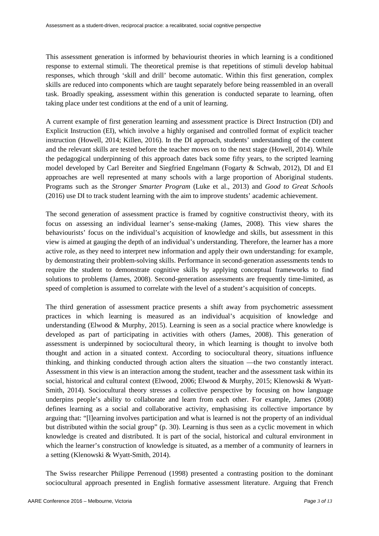This assessment generation is informed by behaviourist theories in which learning is a conditioned response to external stimuli. The theoretical premise is that repetitions of stimuli develop habitual responses, which through 'skill and drill' become automatic. Within this first generation, complex skills are reduced into components which are taught separately before being reassembled in an overall task. Broadly speaking, assessment within this generation is conducted separate to learning, often taking place under test conditions at the end of a unit of learning.

A current example of first generation learning and assessment practice is Direct Instruction (DI) and Explicit Instruction (EI), which involve a highly organised and controlled format of explicit teacher instruction (Howell, 2014; Killen, 2016). In the DI approach, students' understanding of the content and the relevant skills are tested before the teacher moves on to the next stage (Howell, 2014). While the pedagogical underpinning of this approach dates back some fifty years, to the scripted learning model developed by Carl Bereiter and Siegfried Engelmann (Fogarty & Schwab, 2012), DI and EI approaches are well represented at many schools with a large proportion of Aboriginal students. Programs such as the *Stronger Smarter Program* (Luke et al., 2013) and *Good to Great Schools* (2016) use DI to track student learning with the aim to improve students' academic achievement.

The second generation of assessment practice is framed by cognitive constructivist theory, with its focus on assessing an individual learner's sense-making (James, 2008). This view shares the behaviourists' focus on the individual's acquisition of knowledge and skills, but assessment in this view is aimed at gauging the depth of an individual's understanding. Therefore, the learner has a more active role, as they need to interpret new information and apply their own understanding: for example, by demonstrating their problem-solving skills. Performance in second-generation assessments tends to require the student to demonstrate cognitive skills by applying conceptual frameworks to find solutions to problems (James, 2008). Second-generation assessments are frequently time-limited, as speed of completion is assumed to correlate with the level of a student's acquisition of concepts.

The third generation of assessment practice presents a shift away from psychometric assessment practices in which learning is measured as an individual's acquisition of knowledge and understanding (Elwood & Murphy, 2015). Learning is seen as a social practice where knowledge is developed as part of participating in activities with others (James, 2008). This generation of assessment is underpinned by sociocultural theory, in which learning is thought to involve both thought and action in a situated context. According to sociocultural theory, situations influence thinking, and thinking conducted through action alters the situation ––the two constantly interact. Assessment in this view is an interaction among the student, teacher and the assessment task within its social, historical and cultural context (Elwood, 2006; Elwood & Murphy, 2015; Klenowski & Wyatt-Smith, 2014). Sociocultural theory stresses a collective perspective by focusing on how language underpins people's ability to collaborate and learn from each other. For example, James (2008) defines learning as a social and collaborative activity, emphasising its collective importance by arguing that: "[l]earning involves participation and what is learned is not the property of an individual but distributed within the social group" (p. 30). Learning is thus seen as a cyclic movement in which knowledge is created and distributed. It is part of the social, historical and cultural environment in which the learner's construction of knowledge is situated, as a member of a community of learners in a setting (Klenowski & Wyatt-Smith, 2014).

The Swiss researcher Philippe Perrenoud (1998) presented a contrasting position to the dominant sociocultural approach presented in English formative assessment literature. Arguing that French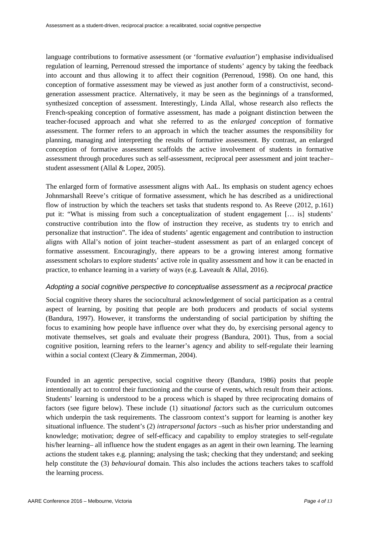language contributions to formative assessment (or 'formative *evaluation*') emphasise individualised regulation of learning, Perrenoud stressed the importance of students' agency by taking the feedback into account and thus allowing it to affect their cognition (Perrenoud, 1998). On one hand, this conception of formative assessment may be viewed as just another form of a constructivist, secondgeneration assessment practice. Alternatively, it may be seen as the beginnings of a transformed, synthesized conception of assessment. Interestingly, Linda Allal, whose research also reflects the French-speaking conception of formative assessment, has made a poignant distinction between the teacher-focused approach and what she referred to as the *enlarged conception* of formative assessment. The former refers to an approach in which the teacher assumes the responsibility for planning, managing and interpreting the results of formative assessment. By contrast, an enlarged conception of formative assessment scaffolds the active involvement of students in formative assessment through procedures such as self-assessment, reciprocal peer assessment and joint teacher– student assessment (Allal & Lopez, 2005).

The enlarged form of formative assessment aligns with AaL. Its emphasis on student agency echoes Johnmarshall Reeve's critique of formative assessment, which he has described as a unidirectional flow of instruction by which the teachers set tasks that students respond to. As Reeve (2012, p.161) put it: "What is missing from such a conceptualization of student engagement [… is] students' constructive contribution into the flow of instruction they receive, as students try to enrich and personalize that instruction". The idea of students' agentic engagement and contribution to instruction aligns with Allal's notion of joint teacher–student assessment as part of an enlarged concept of formative assessment. Encouragingly, there appears to be a growing interest among formative assessment scholars to explore students' active role in quality assessment and how it can be enacted in practice, to enhance learning in a variety of ways (e.g. Laveault & Allal, 2016).

#### *Adopting a social cognitive perspective to conceptualise assessment as a reciprocal practice*

Social cognitive theory shares the sociocultural acknowledgement of social participation as a central aspect of learning, by positing that people are both producers and products of social systems (Bandura, 1997). However, it transforms the understanding of social participation by shifting the focus to examining how people have influence over what they do, by exercising personal agency to motivate themselves, set goals and evaluate their progress (Bandura, 2001). Thus, from a social cognitive position, learning refers to the learner's agency and ability to self-regulate their learning within a social context (Cleary & Zimmerman, 2004).

Founded in an agentic perspective, social cognitive theory (Bandura, 1986) posits that people intentionally act to control their functioning and the course of events, which result from their actions. Students' learning is understood to be a process which is shaped by three reciprocating domains of factors (see figure below). These include (1) *situational factors* such as the curriculum outcomes which underpin the task requirements. The classroom context's support for learning is another key situational influence. The student's (2) *intrapersonal factors* –such as his/her prior understanding and knowledge; motivation; degree of self-efficacy and capability to employ strategies to self-regulate his/her learning– all influence how the student engages as an agent in their own learning. The learning actions the student takes e.g. planning; analysing the task; checking that they understand; and seeking help constitute the (3) *behavioural* domain. This also includes the actions teachers takes to scaffold the learning process.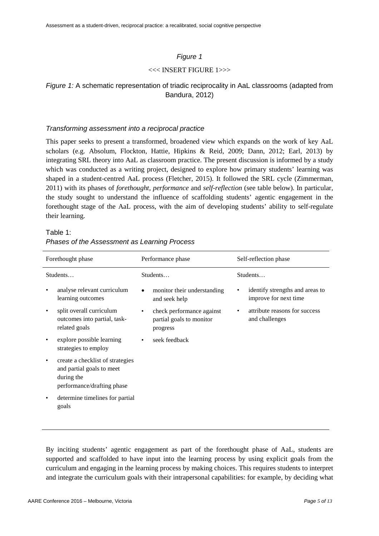## *Figure 1*

### <<< INSERT FIGURE 1>>>

## *Figure 1:* A schematic representation of triadic reciprocality in AaL classrooms (adapted from Bandura, 2012)

### *Transforming assessment into a reciprocal practice*

This paper seeks to present a transformed, broadened view which expands on the work of key AaL scholars (e.g. Absolum, Flockton, Hattie, Hipkins & Reid, 2009; Dann, 2012; Earl, 2013) by integrating SRL theory into AaL as classroom practice. The present discussion is informed by a study which was conducted as a writing project, designed to explore how primary students' learning was shaped in a student-centred AaL process (Fletcher, 2015). It followed the SRL cycle (Zimmerman, 2011) with its phases of *forethought, performance* and *self-reflection* (see table below). In particular, the study sought to understand the influence of scaffolding students' agentic engagement in the forethought stage of the AaL process, with the aim of developing students' ability to self-regulate their learning.

## Table 1: *Phases of the Assessment as Learning Process*

| Forethought phase |                                                                                                           | Performance phase |                                                                   | Self-reflection phase |                                                          |
|-------------------|-----------------------------------------------------------------------------------------------------------|-------------------|-------------------------------------------------------------------|-----------------------|----------------------------------------------------------|
| Students          |                                                                                                           | Students          |                                                                   | Students              |                                                          |
| ٠                 | analyse relevant curriculum<br>learning outcomes                                                          | $\bullet$         | monitor their understanding<br>and seek help                      |                       | identify strengths and areas to<br>improve for next time |
| ٠                 | split overall curriculum<br>outcomes into partial, task-<br>related goals                                 | $\bullet$         | check performance against<br>partial goals to monitor<br>progress |                       | attribute reasons for success<br>and challenges          |
| ٠                 | explore possible learning<br>strategies to employ                                                         | ٠                 | seek feedback                                                     |                       |                                                          |
| $\bullet$         | create a checklist of strategies<br>and partial goals to meet<br>during the<br>performance/drafting phase |                   |                                                                   |                       |                                                          |
| ٠                 | determine timelines for partial<br>goals                                                                  |                   |                                                                   |                       |                                                          |

By inciting students' agentic engagement as part of the forethought phase of AaL, students are supported and scaffolded to have input into the learning process by using explicit goals from the curriculum and engaging in the learning process by making choices. This requires students to interpret and integrate the curriculum goals with their intrapersonal capabilities: for example, by deciding what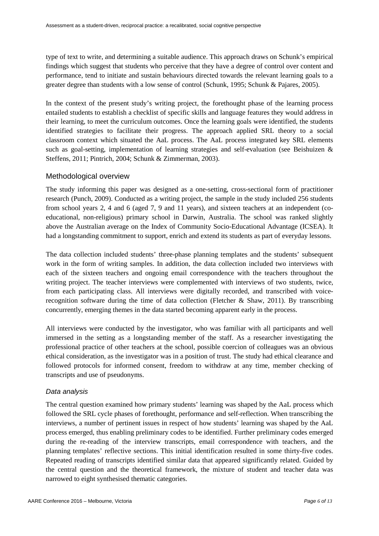type of text to write, and determining a suitable audience. This approach draws on Schunk's empirical findings which suggest that students who perceive that they have a degree of control over content and performance, tend to initiate and sustain behaviours directed towards the relevant learning goals to a greater degree than students with a low sense of control (Schunk, 1995; Schunk & Pajares, 2005).

In the context of the present study's writing project, the forethought phase of the learning process entailed students to establish a checklist of specific skills and language features they would address in their learning, to meet the curriculum outcomes. Once the learning goals were identified, the students identified strategies to facilitate their progress. The approach applied SRL theory to a social classroom context which situated the AaL process. The AaL process integrated key SRL elements such as goal-setting, implementation of learning strategies and self-evaluation (see Beishuizen & Steffens, 2011; Pintrich, 2004; Schunk & Zimmerman, 2003).

## Methodological overview

The study informing this paper was designed as a one-setting, cross-sectional form of practitioner research (Punch, 2009). Conducted as a writing project, the sample in the study included 256 students from school years 2, 4 and 6 (aged 7, 9 and 11 years), and sixteen teachers at an independent (coeducational, non-religious) primary school in Darwin, Australia. The school was ranked slightly above the Australian average on the Index of Community Socio-Educational Advantage (ICSEA). It had a longstanding commitment to support, enrich and extend its students as part of everyday lessons.

The data collection included students' three-phase planning templates and the students' subsequent work in the form of writing samples. In addition, the data collection included two interviews with each of the sixteen teachers and ongoing email correspondence with the teachers throughout the writing project. The teacher interviews were complemented with interviews of two students, twice, from each participating class. All interviews were digitally recorded, and transcribed with voicerecognition software during the time of data collection (Fletcher & Shaw, 2011). By transcribing concurrently, emerging themes in the data started becoming apparent early in the process.

All interviews were conducted by the investigator, who was familiar with all participants and well immersed in the setting as a longstanding member of the staff. As a researcher investigating the professional practice of other teachers at the school, possible coercion of colleagues was an obvious ethical consideration, as the investigator was in a position of trust. The study had ethical clearance and followed protocols for informed consent, freedom to withdraw at any time, member checking of transcripts and use of pseudonyms.

## *Data analysis*

The central question examined how primary students' learning was shaped by the AaL process which followed the SRL cycle phases of forethought, performance and self-reflection. When transcribing the interviews, a number of pertinent issues in respect of how students' learning was shaped by the AaL process emerged, thus enabling preliminary codes to be identified. Further preliminary codes emerged during the re-reading of the interview transcripts, email correspondence with teachers, and the planning templates' reflective sections. This initial identification resulted in some thirty-five codes. Repeated reading of transcripts identified similar data that appeared significantly related. Guided by the central question and the theoretical framework, the mixture of student and teacher data was narrowed to eight synthesised thematic categories.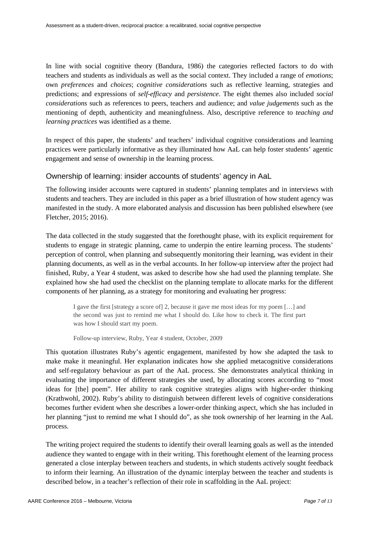In line with social cognitive theory (Bandura, 1986) the categories reflected factors to do with teachers and students as individuals as well as the social context. They included a range of *emotions*; own *preferences* and *choices*; *cognitive considerations* such as reflective learning, strategies and predictions; and expressions of *self*-*efficacy* and *persistence*. The eight themes also included *social considerations* such as references to peers, teachers and audience; and *value judgements* such as the mentioning of depth, authenticity and meaningfulness. Also, descriptive reference to *teaching and learning practices* was identified as a theme.

In respect of this paper, the students' and teachers' individual cognitive considerations and learning practices were particularly informative as they illuminated how AaL can help foster students' agentic engagement and sense of ownership in the learning process.

## Ownership of learning: insider accounts of students' agency in AaL

The following insider accounts were captured in students' planning templates and in interviews with students and teachers. They are included in this paper as a brief illustration of how student agency was manifested in the study. A more elaborated analysis and discussion has been published elsewhere (see Fletcher, 2015; 2016).

The data collected in the study suggested that the forethought phase, with its explicit requirement for students to engage in strategic planning, came to underpin the entire learning process. The students' perception of control, when planning and subsequently monitoring their learning, was evident in their planning documents, as well as in the verbal accounts. In her follow-up interview after the project had finished, Ruby, a Year 4 student, was asked to describe how she had used the planning template. She explained how she had used the checklist on the planning template to allocate marks for the different components of her planning, as a strategy for monitoring and evaluating her progress:

I gave the first [strategy a score of] 2, because it gave me most ideas for my poem […] and the second was just to remind me what I should do. Like how to check it. The first part was how I should start my poem.

Follow-up interview, Ruby, Year 4 student, October, 2009

This quotation illustrates Ruby's agentic engagement, manifested by how she adapted the task to make make it meaningful. Her explanation indicates how she applied metacognitive considerations and self-regulatory behaviour as part of the AaL process. She demonstrates analytical thinking in evaluating the importance of different strategies she used, by allocating scores according to "most ideas for [the] poem". Her ability to rank cognitive strategies aligns with higher-order thinking (Krathwohl, 2002). Ruby's ability to distinguish between different levels of cognitive considerations becomes further evident when she describes a lower-order thinking aspect, which she has included in her planning "just to remind me what I should do", as she took ownership of her learning in the AaL process.

The writing project required the students to identify their overall learning goals as well as the intended audience they wanted to engage with in their writing. This forethought element of the learning process generated a close interplay between teachers and students, in which students actively sought feedback to inform their learning. An illustration of the dynamic interplay between the teacher and students is described below, in a teacher's reflection of their role in scaffolding in the AaL project: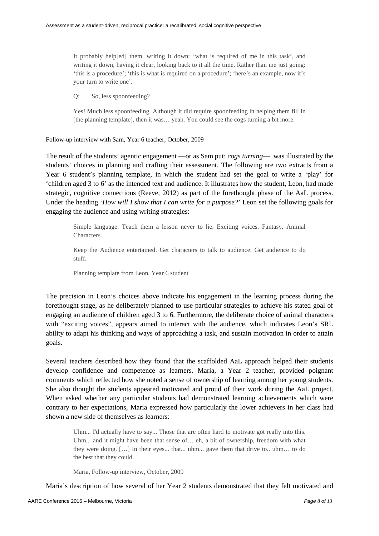It probably help[ed] them, writing it down: 'what is required of me in this task', and writing it down, having it clear, looking back to it all the time. Rather than me just going: 'this is a procedure'; 'this is what is required on a procedure'; 'here's an example, now it's your turn to write one'.

Q: So, less spoonfeeding?

Yes! Much less spoonfeeding. Although it did require spoonfeeding in helping them fill in [the planning template], then it was… yeah. You could see the cogs turning a bit more.

Follow-up interview with Sam, Year 6 teacher, October, 2009

The result of the students' agentic engagement ––or as Sam put: *cogs turning*–– was illustrated by the students' choices in planning and crafting their assessment. The following are two extracts from a Year 6 student's planning template, in which the student had set the goal to write a 'play' for 'children aged 3 to 6' as the intended text and audience. It illustrates how the student, Leon, had made strategic, cognitive connections (Reeve, 2012) as part of the forethought phase of the AaL process. Under the heading '*How will I show that I can write for a purpose?*' Leon set the following goals for engaging the audience and using writing strategies:

Simple language. Teach them a lesson never to lie. Exciting voices. Fantasy. Animal Characters.

Keep the Audience entertained. Get characters to talk to audience. Get audience to do stuff.

Planning template from Leon, Year 6 student

The precision in Leon's choices above indicate his engagement in the learning process during the forethought stage, as he deliberately planned to use particular strategies to achieve his stated goal of engaging an audience of children aged 3 to 6. Furthermore, the deliberate choice of animal characters with "exciting voices", appears aimed to interact with the audience, which indicates Leon's SRL ability to adapt his thinking and ways of approaching a task, and sustain motivation in order to attain goals.

Several teachers described how they found that the scaffolded AaL approach helped their students develop confidence and competence as learners. Maria, a Year 2 teacher, provided poignant comments which reflected how she noted a sense of ownership of learning among her young students. She also thought the students appeared motivated and proud of their work during the AaL project. When asked whether any particular students had demonstrated learning achievements which were contrary to her expectations, Maria expressed how particularly the lower achievers in her class had shown a new side of themselves as learners:

Uhm... I'd actually have to say... Those that are often hard to motivate got really into this. Uhm... and it might have been that sense of… eh, a bit of ownership, freedom with what they were doing. […] In their eyes... that... uhm... gave them that drive to.. uhm… to do the best that they could.

Maria, Follow-up interview, October, 2009

Maria's description of how several of her Year 2 students demonstrated that they felt motivated and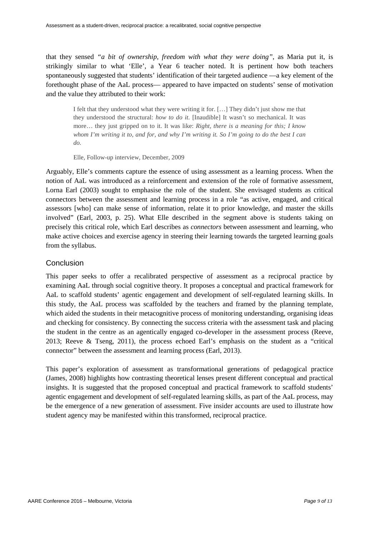that they sensed *"a bit of ownership, freedom with what they were doing"*, as Maria put it, is strikingly similar to what 'Elle', a Year 6 teacher noted. It is pertinent how both teachers spontaneously suggested that students' identification of their targeted audience ––a key element of the forethought phase of the AaL process–– appeared to have impacted on students' sense of motivation and the value they attributed to their work:

I felt that they understood what they were writing it for. […] They didn't just show me that they understood the structural: *how to do it*. [Inaudible] It wasn't so mechanical. It was more… they just gripped on to it. It was like: *Right, there is a meaning for this; I know whom I'm writing it to, and for, and why I'm writing it. So I'm going to do the best I can do.*

Elle, Follow-up interview, December, 2009

Arguably, Elle's comments capture the essence of using assessment as a learning process. When the notion of AaL was introduced as a reinforcement and extension of the role of formative assessment, Lorna Earl (2003) sought to emphasise the role of the student. She envisaged students as critical connectors between the assessment and learning process in a role "as active, engaged, and critical assessors [who] can make sense of information, relate it to prior knowledge, and master the skills involved" (Earl, 2003, p. 25). What Elle described in the segment above is students taking on precisely this critical role, which Earl describes as *connectors* between assessment and learning, who make active choices and exercise agency in steering their learning towards the targeted learning goals from the syllabus.

### Conclusion

This paper seeks to offer a recalibrated perspective of assessment as a reciprocal practice by examining AaL through social cognitive theory. It proposes a conceptual and practical framework for AaL to scaffold students' agentic engagement and development of self-regulated learning skills. In this study, the AaL process was scaffolded by the teachers and framed by the planning template, which aided the students in their metacognitive process of monitoring understanding, organising ideas and checking for consistency. By connecting the success criteria with the assessment task and placing the student in the centre as an agentically engaged co-developer in the assessment process (Reeve, 2013; Reeve & Tseng, 2011), the process echoed Earl's emphasis on the student as a "critical connector" between the assessment and learning process (Earl, 2013).

This paper's exploration of assessment as transformational generations of pedagogical practice (James, 2008) highlights how contrasting theoretical lenses present different conceptual and practical insights. It is suggested that the proposed conceptual and practical framework to scaffold students' agentic engagement and development of self-regulated learning skills, as part of the AaL process, may be the emergence of a new generation of assessment. Five insider accounts are used to illustrate how student agency may be manifested within this transformed, reciprocal practice.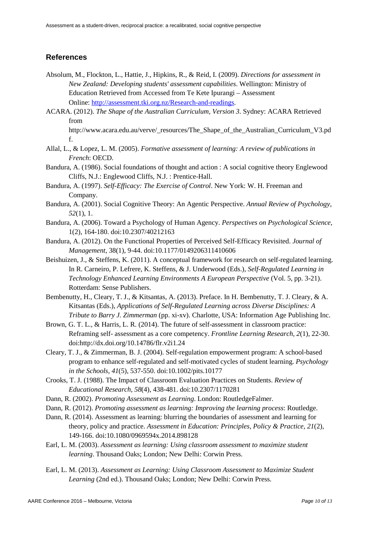## **References**

- Absolum, M., Flockton, L., Hattie, J., Hipkins, R., & Reid, I. (2009). *Directions for assessment in New Zealand: Developing students' assessment capabilities*. Wellington: Ministry of Education Retrieved from Accessed from Te Kete Ipurangi – Assessment Online[: http://assessment.tki.org.nz/Research-and-readings.](http://assessment.tki.org.nz/Research-and-readings)
- ACARA. (2012). *The Shape of the Australian Curriculum, Version 3*. Sydney: ACARA Retrieved from

http://www.acara.edu.au/verve/\_resources/The\_Shape\_of\_the\_Australian\_Curriculum\_V3.pd f.

- Allal, L., & Lopez, L. M. (2005). *Formative assessment of learning: A review of publications in French*: OECD.
- Bandura, A. (1986). Social foundations of thought and action : A social cognitive theory Englewood Cliffs, N.J.: Englewood Cliffs, N.J. : Prentice-Hall.
- Bandura, A. (1997). *Self-Efficacy: The Exercise of Control*. New York: W. H. Freeman and Company.
- Bandura, A. (2001). Social Cognitive Theory: An Agentic Perspective. *Annual Review of Psychology, 52*(1), 1.
- Bandura, A. (2006). Toward a Psychology of Human Agency. *Perspectives on Psychological Science*, 1(2), 164-180. doi:10.2307/40212163
- Bandura, A. (2012). On the Functional Properties of Perceived Self-Efficacy Revisited. *Journal of Management*, 38(1), 9-44. doi:10.1177/0149206311410606
- Beishuizen, J., & Steffens, K. (2011). A conceptual framework for research on self-regulated learning. In R. Carneiro, P. Lefrere, K. Steffens, & J. Underwood (Eds.), *Self-Regulated Learning in Technology Enhanced Learning Environments A European Perspective* (Vol. 5, pp. 3-21). Rotterdam: Sense Publishers.
- Bembenutty, H., Cleary, T. J., & Kitsantas, A. (2013). Preface. In H. Bembenutty, T. J. Cleary, & A. Kitsantas (Eds.), *Applications of Self-Regulated Learning across Diverse Disciplines: A Tribute to Barry J. Zimmerman* (pp. xi-xv). Charlotte, USA: Information Age Publishing Inc.
- Brown, G. T. L., & Harris, L. R. (2014). The future of self-assessment in classroom practice: Reframing self- assessment as a core competency. *Frontline Learning Research, 2*(1), 22-30. doi:http://dx.doi.org/10.14786/flr.v2i1.24
- Cleary, T. J., & Zimmerman, B. J. (2004). Self-regulation empowerment program: A school-based program to enhance self-regulated and self-motivated cycles of student learning. *Psychology in the Schools, 41*(5), 537-550. doi:10.1002/pits.10177
- Crooks, T. J. (1988). The Impact of Classroom Evaluation Practices on Students. *Review of Educational Research, 58*(4), 438-481. doi:10.2307/1170281
- Dann, R. (2002). *Promoting Assessment as Learning*. London: RoutledgeFalmer.
- Dann, R. (2012). *Promoting assessment as learning: Improving the learning process*: Routledge.
- Dann, R. (2014). Assessment as learning: blurring the boundaries of assessment and learning for theory, policy and practice. *Assessment in Education: Principles, Policy & Practice, 21*(2), 149-166. doi:10.1080/0969594x.2014.898128
- Earl, L. M. (2003). *Assessment as learning: Using classroom assessment to maximize student learning*. Thousand Oaks; London; New Delhi: Corwin Press.
- Earl, L. M. (2013). *Assessment as Learning: Using Classroom Assessment to Maximize Student Learning* (2nd ed.). Thousand Oaks; London; New Delhi: Corwin Press.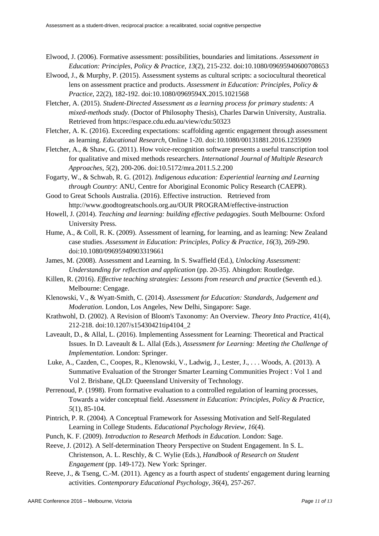- Elwood, J. (2006). Formative assessment: possibilities, boundaries and limitations. *Assessment in Education: Principles, Policy & Practice, 13*(2), 215-232. doi:10.1080/09695940600708653
- Elwood, J., & Murphy, P. (2015). Assessment systems as cultural scripts: a sociocultural theoretical lens on assessment practice and products. *Assessment in Education: Principles, Policy & Practice*, 22(2), 182-192. doi:10.1080/0969594X.2015.1021568
- Fletcher, A. (2015). *Student-Directed Assessment as a learning process for primary students: A mixed-methods study.* (Doctor of Philosophy Thesis), Charles Darwin University, Australia. Retrieved from https://espace.cdu.edu.au/view/cdu:50323
- Fletcher, A. K. (2016). Exceeding expectations: scaffolding agentic engagement through assessment as learning. *Educational Research*, Online 1-20. doi:10.1080/00131881.2016.1235909
- Fletcher, A., & Shaw, G. (2011). How voice-recognition software presents a useful transcription tool for qualitative and mixed methods researchers. *International Journal of Multiple Research Approaches, 5*(2), 200-206. doi:10.5172/mra.2011.5.2.200
- Fogarty, W., & Schwab, R. G. (2012). *Indigenous education: Experiential learning and Learning through Country*: ANU, Centre for Aboriginal Economic Policy Research (CAEPR).
- Good to Great Schools Australia. (2016). Effective instruction. Retrieved from http://www.goodtogreatschools.org.au/OUR PROGRAM/effective-instruction
- Howell, J. (2014). *Teaching and learning: building effective pedagogies*. South Melbourne: Oxford University Press.
- Hume, A., & Coll, R. K. (2009). Assessment of learning, for learning, and as learning: New Zealand case studies. *Assessment in Education: Principles, Policy & Practice, 16*(3), 269-290. doi:10.1080/09695940903319661
- James, M. (2008). Assessment and Learning. In S. Swaffield (Ed.), *Unlocking Assessment: Understanding for reflection and application* (pp. 20-35). Abingdon: Routledge.
- Killen, R. (2016). *Effective teaching strategies: Lessons from research and practice* (Seventh ed.). Melbourne: Cengage.
- Klenowski, V., & Wyatt-Smith, C. (2014). *Assessment for Education: Standards, Judgement and Moderation*. London, Los Angeles, New Delhi, Singapore: Sage.
- Krathwohl, D. (2002). A Revision of Bloom's Taxonomy: An Overview. *Theory Into Practice*, 41(4), 212-218. doi:10.1207/s15430421tip4104\_2
- Laveault, D., & Allal, L. (2016). Implementing Assessment for Learning: Theoretical and Practical Issues. In D. Laveault & L. Allal (Eds.), *Assessment for Learning: Meeting the Challenge of Implementation*. London: Springer.
- Luke, A., Cazden, C., Coopes, R., Klenowski, V., Ladwig, J., Lester, J., . . . Woods, A. (2013). A Summative Evaluation of the Stronger Smarter Learning Communities Project : Vol 1 and Vol 2. Brisbane, QLD: Queensland University of Technology.
- Perrenoud, P. (1998). From formative evaluation to a controlled regulation of learning processes, Towards a wider conceptual field. *Assessment in Education: Principles, Policy & Practice, 5*(1), 85-104.
- Pintrich, P. R. (2004). A Conceptual Framework for Assessing Motivation and Self-Regulated Learning in College Students. *Educational Psychology Review, 16*(4).
- Punch, K. F. (2009). *Introduction to Research Methods in Education*. London: Sage.
- Reeve, J. (2012). A Self-determination Theory Perspective on Student Engagement. In S. L. Christenson, A. L. Reschly, & C. Wylie (Eds.), *Handbook of Research on Student Engagement* (pp. 149-172). New York: Springer.
- Reeve, J., & Tseng, C.-M. (2011). Agency as a fourth aspect of students' engagement during learning activities. *Contemporary Educational Psychology, 36*(4), 257-267.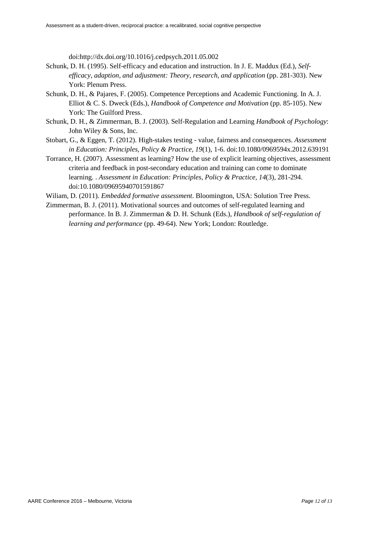doi:http://dx.doi.org/10.1016/j.cedpsych.2011.05.002

- Schunk, D. H. (1995). Self-efficacy and education and instruction. In J. E. Maddux (Ed.), *Selfefficacy, adaption, and adjustment: Theory, research, and application* (pp. 281-303). New York: Plenum Press.
- Schunk, D. H., & Pajares, F. (2005). Competence Perceptions and Academic Functioning. In A. J. Elliot & C. S. Dweck (Eds.), *Handbook of Competence and Motivation* (pp. 85-105). New York: The Guilford Press.
- Schunk, D. H., & Zimmerman, B. J. (2003). Self-Regulation and Learning *Handbook of Psychology*: John Wiley & Sons, Inc.
- Stobart, G., & Eggen, T. (2012). High-stakes testing value, fairness and consequences. *Assessment in Education: Principles, Policy & Practice, 19*(1), 1-6. doi:10.1080/0969594x.2012.639191
- Torrance, H. (2007). Assessment as learning? How the use of explicit learning objectives, assessment criteria and feedback in post-secondary education and training can come to dominate learning. . *Assessment in Education: Principles, Policy & Practice, 14*(3), 281-294. doi:10.1080/09695940701591867

Wiliam, D. (2011). *Embedded formative assessment*. Bloomington, USA: Solution Tree Press.

Zimmerman, B. J. (2011). Motivational sources and outcomes of self-regulated learning and performance. In B. J. Zimmerman & D. H. Schunk (Eds.), *Handbook of self-regulation of learning and performance* (pp. 49-64). New York; London: Routledge.